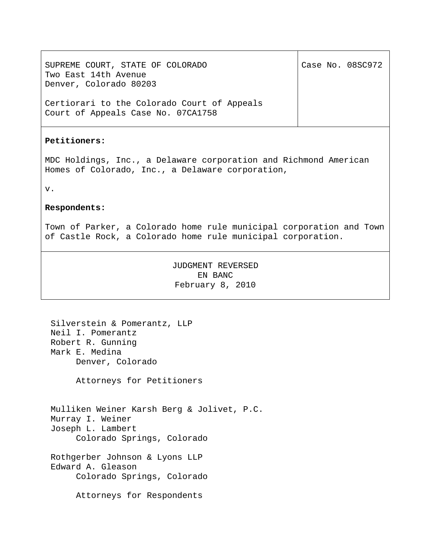SUPREME COURT, STATE OF COLORADO Two East 14th Avenue Denver, Colorado 80203 Certiorari to the Colorado Court of Appeals Court of Appeals Case No. 07CA1758 Case No. 08SC972 **Petitioners:** MDC Holdings, Inc., a Delaware corporation and Richmond American Homes of Colorado, Inc., a Delaware corporation, v. **Respondents:** Town of Parker, a Colorado home rule municipal corporation and Town of Castle Rock, a Colorado home rule municipal corporation.

> JUDGMENT REVERSED EN BANC February 8, 2010

Silverstein & Pomerantz, LLP Neil I. Pomerantz Robert R. Gunning Mark E. Medina Denver, Colorado

Attorneys for Petitioners

Mulliken Weiner Karsh Berg & Jolivet, P.C. Murray I. Weiner Joseph L. Lambert Colorado Springs, Colorado

Rothgerber Johnson & Lyons LLP Edward A. Gleason Colorado Springs, Colorado

Attorneys for Respondents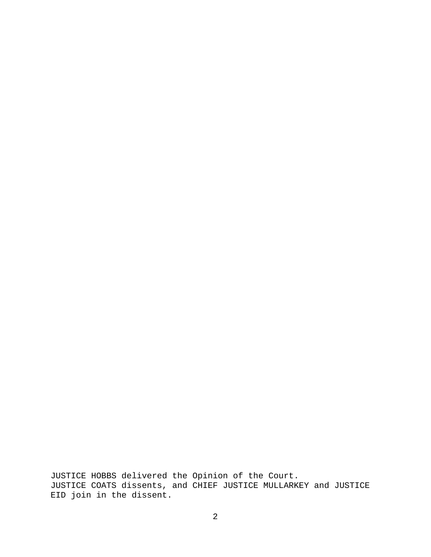JUSTICE HOBBS delivered the Opinion of the Court. JUSTICE COATS dissents, and CHIEF JUSTICE MULLARKEY and JUSTICE EID join in the dissent.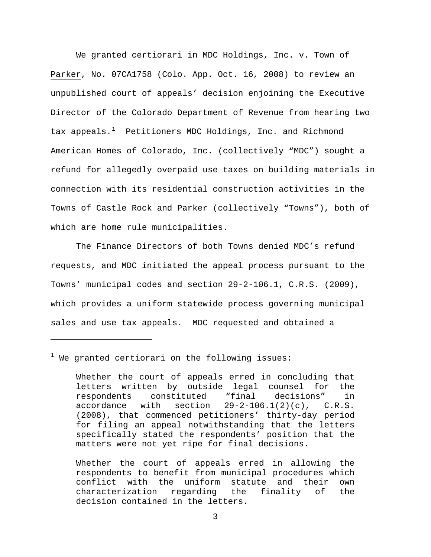We granted certiorari in MDC Holdings, Inc. v. Town of Parker, No. 07CA1758 (Colo. App. Oct. 16, 2008) to review an unpublished court of appeals' decision enjoining the Executive Director of the Colorado Department of Revenue from hearing two tax appeals. $<sup>1</sup>$  $<sup>1</sup>$  $<sup>1</sup>$  Petitioners MDC Holdings, Inc. and Richmond</sup> American Homes of Colorado, Inc. (collectively "MDC") sought a refund for allegedly overpaid use taxes on building materials in connection with its residential construction activities in the Towns of Castle Rock and Parker (collectively "Towns"), both of which are home rule municipalities.

The Finance Directors of both Towns denied MDC's refund requests, and MDC initiated the appeal process pursuant to the Towns' municipal codes and section 29-2-106.1, C.R.S. (2009), which provides a uniform statewide process governing municipal sales and use tax appeals. MDC requested and obtained a

<span id="page-2-0"></span> $^1$  We granted certiorari on the following issues:

i<br>Li

Whether the court of appeals erred in allowing the respondents to benefit from municipal procedures which conflict with the uniform statute and their own characterization regarding the finality of the decision contained in the letters.

Whether the court of appeals erred in concluding that letters written by outside legal counsel for the respondents constituted "final decisions" in accordance with section  $29-2-106.1(2)(c)$ , C.R.S. (2008), that commenced petitioners' thirty-day period for filing an appeal notwithstanding that the letters specifically stated the respondents' position that the matters were not yet ripe for final decisions.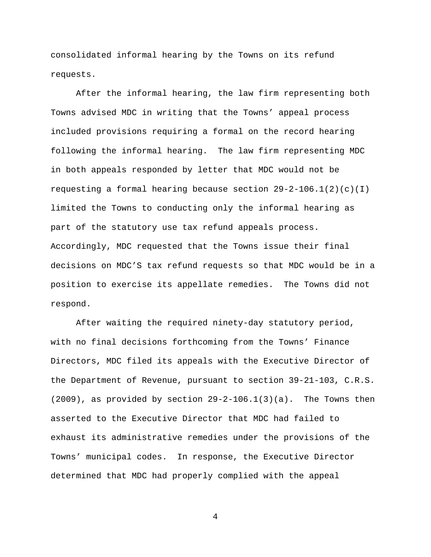consolidated informal hearing by the Towns on its refund requests.

After the informal hearing, the law firm representing both Towns advised MDC in writing that the Towns' appeal process included provisions requiring a formal on the record hearing following the informal hearing. The law firm representing MDC in both appeals responded by letter that MDC would not be requesting a formal hearing because section  $29-2-106.1(2)(c)(1)$ limited the Towns to conducting only the informal hearing as part of the statutory use tax refund appeals process. Accordingly, MDC requested that the Towns issue their final decisions on MDC'S tax refund requests so that MDC would be in a position to exercise its appellate remedies. The Towns did not respond.

After waiting the required ninety-day statutory period, with no final decisions forthcoming from the Towns' Finance Directors, MDC filed its appeals with the Executive Director of the Department of Revenue, pursuant to section 39-21-103, C.R.S.  $(2009)$ , as provided by section  $29-2-106.1(3)(a)$ . The Towns then asserted to the Executive Director that MDC had failed to exhaust its administrative remedies under the provisions of the Towns' municipal codes. In response, the Executive Director determined that MDC had properly complied with the appeal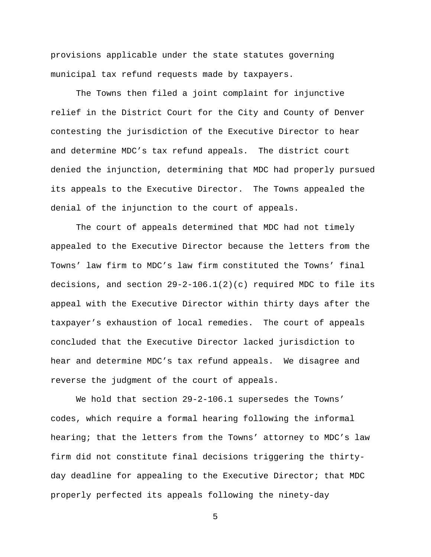provisions applicable under the state statutes governing municipal tax refund requests made by taxpayers.

The Towns then filed a joint complaint for injunctive relief in the District Court for the City and County of Denver contesting the jurisdiction of the Executive Director to hear and determine MDC's tax refund appeals. The district court denied the injunction, determining that MDC had properly pursued its appeals to the Executive Director. The Towns appealed the denial of the injunction to the court of appeals.

The court of appeals determined that MDC had not timely appealed to the Executive Director because the letters from the Towns' law firm to MDC's law firm constituted the Towns' final decisions, and section 29-2-106.1(2)(c) required MDC to file its appeal with the Executive Director within thirty days after the taxpayer's exhaustion of local remedies. The court of appeals concluded that the Executive Director lacked jurisdiction to hear and determine MDC's tax refund appeals. We disagree and reverse the judgment of the court of appeals.

We hold that section 29-2-106.1 supersedes the Towns' codes, which require a formal hearing following the informal hearing; that the letters from the Towns' attorney to MDC's law firm did not constitute final decisions triggering the thirtyday deadline for appealing to the Executive Director; that MDC properly perfected its appeals following the ninety-day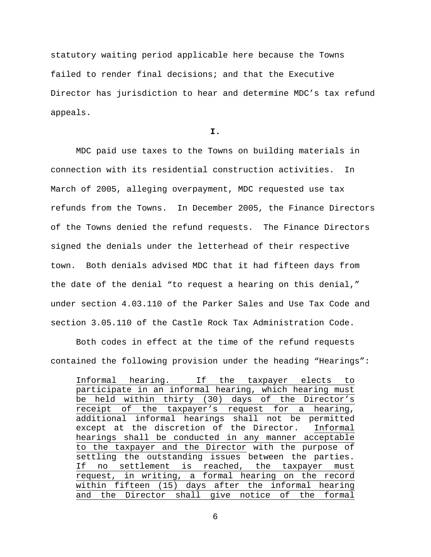statutory waiting period applicable here because the Towns failed to render final decisions; and that the Executive Director has jurisdiction to hear and determine MDC's tax refund appeals.

**I.** 

MDC paid use taxes to the Towns on building materials in connection with its residential construction activities. In March of 2005, alleging overpayment, MDC requested use tax refunds from the Towns. In December 2005, the Finance Directors of the Towns denied the refund requests. The Finance Directors signed the denials under the letterhead of their respective town. Both denials advised MDC that it had fifteen days from the date of the denial "to request a hearing on this denial," under section 4.03.110 of the Parker Sales and Use Tax Code and section 3.05.110 of the Castle Rock Tax Administration Code.

Both codes in effect at the time of the refund requests contained the following provision under the heading "Hearings":

Informal hearing. If the taxpayer elects to participate in an informal hearing, which hearing must be held within thirty (30) days of the Director's receipt of the taxpayer's request for a hearing, additional informal hearings shall not be permitted except at the discretion of the Director. Informal hearings shall be conducted in any manner acceptable to the taxpayer and the Director with the purpose of settling the outstanding issues between the parties. If no settlement is reached, the taxpayer must request, in writing, a formal hearing on the record within fifteen (15) days after the informal hearing and the Director shall give notice of the formal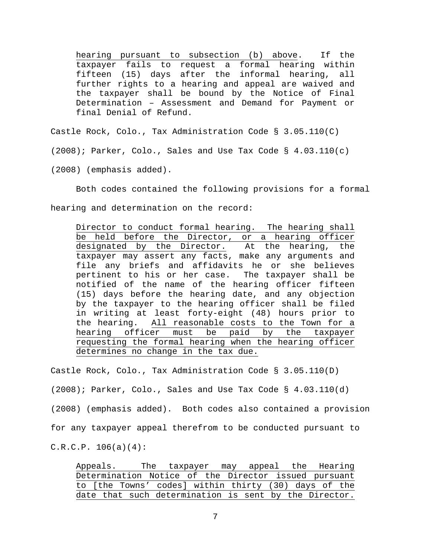hearing pursuant to subsection (b) above. If the taxpayer fails to request a formal hearing within fifteen (15) days after the informal hearing, all further rights to a hearing and appeal are waived and the taxpayer shall be bound by the Notice of Final Determination – Assessment and Demand for Payment or final Denial of Refund.

Castle Rock, Colo., Tax Administration Code § 3.05.110(C)

(2008); Parker, Colo., Sales and Use Tax Code § 4.03.110(c)

(2008) (emphasis added).

Both codes contained the following provisions for a formal

hearing and determination on the record:

Director to conduct formal hearing. The hearing shall be held before the Director, or a hearing officer designated by the Director. At the hearing, the taxpayer may assert any facts, make any arguments and file any briefs and affidavits he or she believes pertinent to his or her case. The taxpayer shall be notified of the name of the hearing officer fifteen (15) days before the hearing date, and any objection by the taxpayer to the hearing officer shall be filed in writing at least forty-eight (48) hours prior to the hearing. All reasonable costs to the Town for a hearing officer must be paid by the taxpayer requesting the formal hearing when the hearing officer determines no change in the tax due.

Castle Rock, Colo., Tax Administration Code § 3.05.110(D)

(2008); Parker, Colo., Sales and Use Tax Code § 4.03.110(d)

(2008) (emphasis added). Both codes also contained a provision

for any taxpayer appeal therefrom to be conducted pursuant to

 $C.R.C.P. 106(a)(4):$ 

Appeals. The taxpayer may appeal the Hearing Determination Notice of the Director issued pursuant to [the Towns' codes] within thirty (30) days of the date that such determination is sent by the Director.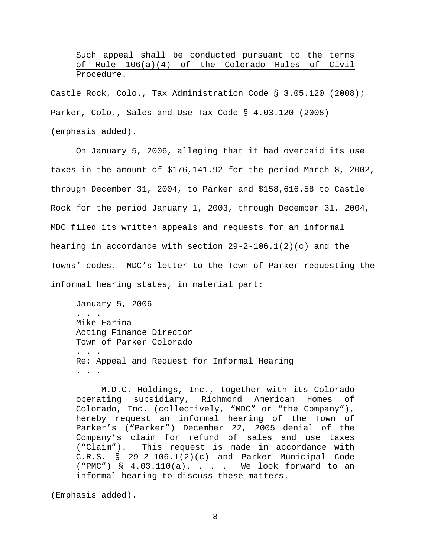# Such appeal shall be conducted pursuant to the terms of Rule 106(a)(4) of the Colorado Rules of Civil Procedure.

Castle Rock, Colo., Tax Administration Code § 3.05.120 (2008); Parker, Colo., Sales and Use Tax Code § 4.03.120 (2008) (emphasis added).

On January 5, 2006, alleging that it had overpaid its use taxes in the amount of \$176,141.92 for the period March 8, 2002, through December 31, 2004, to Parker and \$158,616.58 to Castle Rock for the period January 1, 2003, through December 31, 2004, MDC filed its written appeals and requests for an informal hearing in accordance with section 29-2-106.1(2)(c) and the Towns' codes. MDC's letter to the Town of Parker requesting the informal hearing states, in material part:

January 5, 2006 . . . Mike Farina Acting Finance Director Town of Parker Colorado . . . Re: Appeal and Request for Informal Hearing . . .

M.D.C. Holdings, Inc., together with its Colorado operating subsidiary, Richmond American Homes of Colorado, Inc. (collectively, "MDC" or "the Company"), hereby request an informal hearing of the Town of Parker's ("Parker") December 22, 2005 denial of the Company's claim for refund of sales and use taxes ("Claim"). This request is made in accordance with  $C.R.S. S 29-2-106.1(2)(c)$  and Parker Municipal Code ("PMC") § 4.03.110(a). . . . We look forward to an informal hearing to discuss these matters.

(Emphasis added).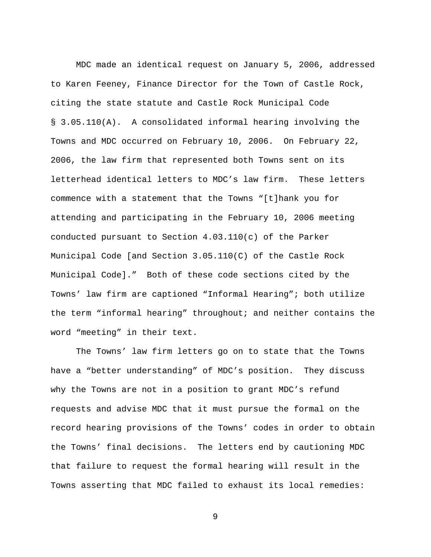MDC made an identical request on January 5, 2006, addressed to Karen Feeney, Finance Director for the Town of Castle Rock, citing the state statute and Castle Rock Municipal Code § 3.05.110(A). A consolidated informal hearing involving the Towns and MDC occurred on February 10, 2006. On February 22, 2006, the law firm that represented both Towns sent on its letterhead identical letters to MDC's law firm. These letters commence with a statement that the Towns "[t]hank you for attending and participating in the February 10, 2006 meeting conducted pursuant to Section 4.03.110(c) of the Parker Municipal Code [and Section 3.05.110(C) of the Castle Rock Municipal Code]." Both of these code sections cited by the Towns' law firm are captioned "Informal Hearing"; both utilize the term "informal hearing" throughout; and neither contains the word "meeting" in their text.

The Towns' law firm letters go on to state that the Towns have a "better understanding" of MDC's position. They discuss why the Towns are not in a position to grant MDC's refund requests and advise MDC that it must pursue the formal on the record hearing provisions of the Towns' codes in order to obtain the Towns' final decisions. The letters end by cautioning MDC that failure to request the formal hearing will result in the Towns asserting that MDC failed to exhaust its local remedies: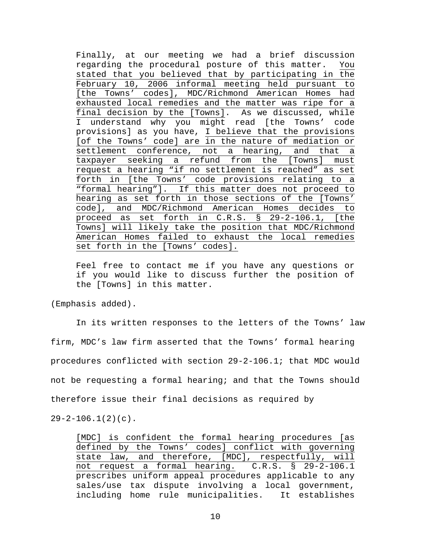Finally, at our meeting we had a brief discussion regarding the procedural posture of this matter. You stated that you believed that by participating in the February 10, 2006 informal meeting held pursuant to [the Towns' codes], MDC/Richmond American Homes had exhausted local remedies and the matter was ripe for a final decision by the [Towns]. As we discussed, while I understand why you might read [the Towns' code provisions] as you have, I believe that the provisions [of the Towns' code] are in the nature of mediation or settlement conference, not a hearing, and that a taxpayer seeking a refund from the [Towns] must request a hearing "if no settlement is reached" as set forth in [the Towns' code provisions relating to a "formal hearing"]. If this matter does not proceed to hearing as set forth in those sections of the [Towns' code], and MDC/Richmond American Homes decides to proceed as set forth in C.R.S. § 29-2-106.1, [the Towns] will likely take the position that MDC/Richmond American Homes failed to exhaust the local remedies set forth in the [Towns' codes].

Feel free to contact me if you have any questions or if you would like to discuss further the position of the [Towns] in this matter.

(Emphasis added).

In its written responses to the letters of the Towns' law firm, MDC's law firm asserted that the Towns' formal hearing procedures conflicted with section 29-2-106.1; that MDC would not be requesting a formal hearing; and that the Towns should therefore issue their final decisions as required by

 $29-2-106.1(2)(c)$ .

[MDC] is confident the formal hearing procedures [as defined by the Towns' codes] conflict with governing state law, and therefore, [MDC], respectfully, will not request a formal hearing. C.R.S. § 29-2-106.1 prescribes uniform appeal procedures applicable to any sales/use tax dispute involving a local government, including home rule municipalities. It establishes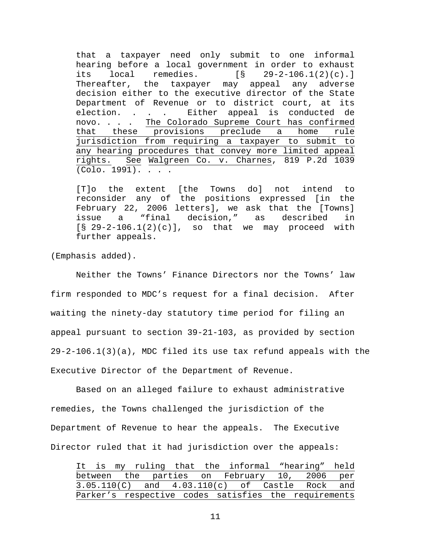that a taxpayer need only submit to one informal hearing before a local government in order to exhaust its local remedies. [§ 29-2-106.1(2)(c).] Thereafter, the taxpayer may appeal any adverse decision either to the executive director of the State Department of Revenue or to district court, at its election. . . . Either appeal is conducted de novo. . . . The Colorado Supreme Court has confirmed that these provisions preclude a home rule jurisdiction from requiring a taxpayer to submit to any hearing procedures that convey more limited appeal rights. See Walgreen Co. v. Charnes, 819 P.2d 1039 (Colo. 1991). . . .

[T]o the extent [the Towns do] not intend to reconsider any of the positions expressed [in the February 22, 2006 letters], we ask that the [Towns] issue a "final decision," as described in  $[§ 29-2-106.1(2)(c)], so that we may proceed with$ further appeals.

(Emphasis added).

Neither the Towns' Finance Directors nor the Towns' law firm responded to MDC's request for a final decision. After waiting the ninety-day statutory time period for filing an appeal pursuant to section 39-21-103, as provided by section 29-2-106.1(3)(a), MDC filed its use tax refund appeals with the Executive Director of the Department of Revenue.

Based on an alleged failure to exhaust administrative remedies, the Towns challenged the jurisdiction of the Department of Revenue to hear the appeals. The Executive Director ruled that it had jurisdiction over the appeals:

It is my ruling that the informal "hearing" held between the parties on February 10, 2006 per 3.05.110(C) and 4.03.110(c) of Castle Rock and Parker's respective codes satisfies the requirements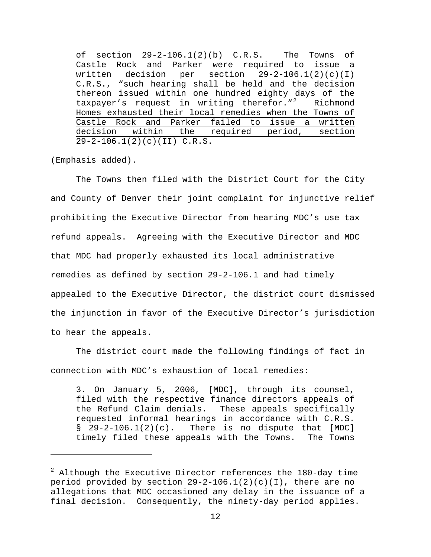of section 29-2-106.1(2)(b) C.R.S. The Towns of Castle Rock and Parker were required to issue a written decision per section  $29-2-106.1(2)(c)(1)$ C.R.S., "such hearing shall be held and the decision thereon issued within one hundred eighty days of the taxpayer's request in writing therefor."<sup>[2](#page-11-0)</sup> Richmond Homes exhausted their local remedies when the Towns of Castle Rock and Parker failed to issue a written decision within the required period, section 29-2-106.1(2)(c)(II) C.R.S.

(Emphasis added).

 $\overline{\phantom{0}}$ 

The Towns then filed with the District Court for the City and County of Denver their joint complaint for injunctive relief prohibiting the Executive Director from hearing MDC's use tax refund appeals. Agreeing with the Executive Director and MDC that MDC had properly exhausted its local administrative remedies as defined by section 29-2-106.1 and had timely appealed to the Executive Director, the district court dismissed the injunction in favor of the Executive Director's jurisdiction to hear the appeals.

The district court made the following findings of fact in connection with MDC's exhaustion of local remedies:

3. On January 5, 2006, [MDC], through its counsel, filed with the respective finance directors appeals of the Refund Claim denials. These appeals specifically requested informal hearings in accordance with C.R.S.  $\S$  29-2-106.1(2)(c). There is no dispute that [MDC] timely filed these appeals with the Towns. The Towns

<span id="page-11-0"></span> $^2$  Although the Executive Director references the 180-day time period provided by section  $29-2-106.1(2)(c)(1)$ , there are no allegations that MDC occasioned any delay in the issuance of a final decision. Consequently, the ninety-day period applies.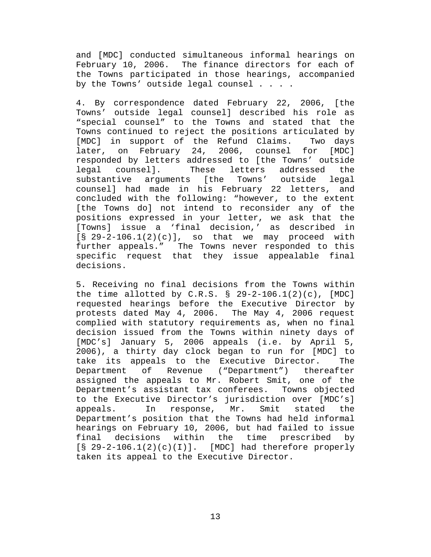and [MDC] conducted simultaneous informal hearings on February 10, 2006. The finance directors for each of the Towns participated in those hearings, accompanied by the Towns' outside legal counsel . . . .

4. By correspondence dated February 22, 2006, [the Towns' outside legal counsel] described his role as "special counsel" to the Towns and stated that the Towns continued to reject the positions articulated by [MDC] in support of the Refund Claims. Two days later, on February 24, 2006, counsel for [MDC] responded by letters addressed to [the Towns' outside legal counsel]. These letters addressed the substantive arguments [the Towns' outside legal counsel] had made in his February 22 letters, and concluded with the following: "however, to the extent [the Towns do] not intend to reconsider any of the positions expressed in your letter, we ask that the [Towns] issue a 'final decision,' as described in  $\begin{bmatrix} \S & 29-2-106 & 1(2)(c) \end{bmatrix}$ , so that we may proceed with further appeals." The Towns never responded to this specific request that they issue appealable final decisions.

5. Receiving no final decisions from the Towns within the time allotted by C.R.S.  $\S$  29-2-106.1(2)(c), [MDC] requested hearings before the Executive Director by protests dated May 4, 2006. The May 4, 2006 request complied with statutory requirements as, when no final decision issued from the Towns within ninety days of [MDC's] January 5, 2006 appeals (i.e. by April 5, 2006), a thirty day clock began to run for [MDC] to take its appeals to the Executive Director. The Department of Revenue ("Department") thereafter assigned the appeals to Mr. Robert Smit, one of the Department's assistant tax conferees. Towns objected to the Executive Director's jurisdiction over [MDC's] appeals. In response, Mr. Smit stated the Department's position that the Towns had held informal hearings on February 10, 2006, but had failed to issue final decisions within the time prescribed by  $\lceil \S 29 - 2 - 106 \ldots 1(2)(c)(I) \rceil$ . [MDC] had therefore properly taken its appeal to the Executive Director.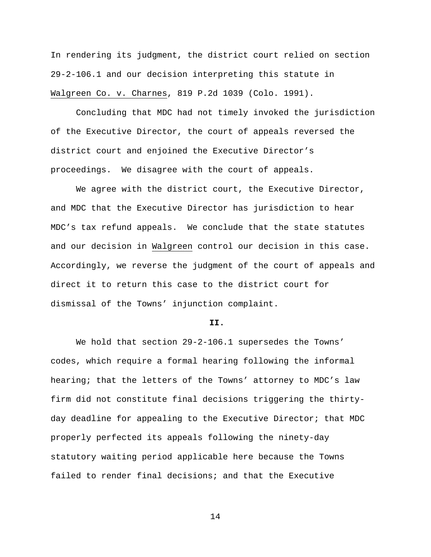In rendering its judgment, the district court relied on section 29-2-106.1 and our decision interpreting this statute in Walgreen Co. v. Charnes, 819 P.2d 1039 (Colo. 1991).

Concluding that MDC had not timely invoked the jurisdiction of the Executive Director, the court of appeals reversed the district court and enjoined the Executive Director's proceedings. We disagree with the court of appeals.

We agree with the district court, the Executive Director, and MDC that the Executive Director has jurisdiction to hear MDC's tax refund appeals. We conclude that the state statutes and our decision in Walgreen control our decision in this case. Accordingly, we reverse the judgment of the court of appeals and direct it to return this case to the district court for dismissal of the Towns' injunction complaint.

#### **II.**

We hold that section 29-2-106.1 supersedes the Towns' codes, which require a formal hearing following the informal hearing; that the letters of the Towns' attorney to MDC's law firm did not constitute final decisions triggering the thirtyday deadline for appealing to the Executive Director; that MDC properly perfected its appeals following the ninety-day statutory waiting period applicable here because the Towns failed to render final decisions; and that the Executive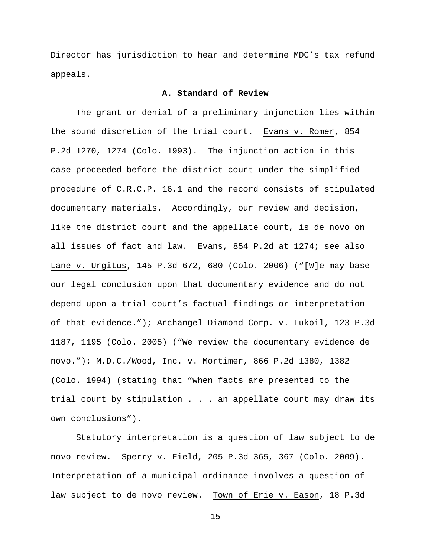Director has jurisdiction to hear and determine MDC's tax refund appeals.

## **A. Standard of Review**

 The grant or denial of a preliminary injunction lies within the sound discretion of the trial court. Evans v. Romer, 854 P.2d 1270, 1274 (Colo. 1993). The injunction action in this case proceeded before the district court under the simplified procedure of C.R.C.P. 16.1 and the record consists of stipulated documentary materials. Accordingly, our review and decision, like the district court and the appellate court, is de novo on all issues of fact and law. Evans, 854 P.2d at 1274; see also Lane v. Urgitus, 145 P.3d 672, 680 (Colo. 2006) ("[W]e may base our legal conclusion upon that documentary evidence and do not depend upon a trial court's factual findings or interpretation of that evidence."); Archangel Diamond Corp. v. Lukoil, 123 P.3d 1187, 1195 (Colo. 2005) ("We review the documentary evidence de novo."); M.D.C./Wood, Inc. v. Mortimer, 866 P.2d 1380, 1382 (Colo. 1994) (stating that "when facts are presented to the trial court by stipulation . . . an appellate court may draw its own conclusions").

Statutory interpretation is a question of law subject to de novo review. Sperry v. Field, 205 P.3d 365, 367 (Colo. 2009). Interpretation of a municipal ordinance involves a question of law subject to de novo review. Town of Erie v. Eason, 18 P.3d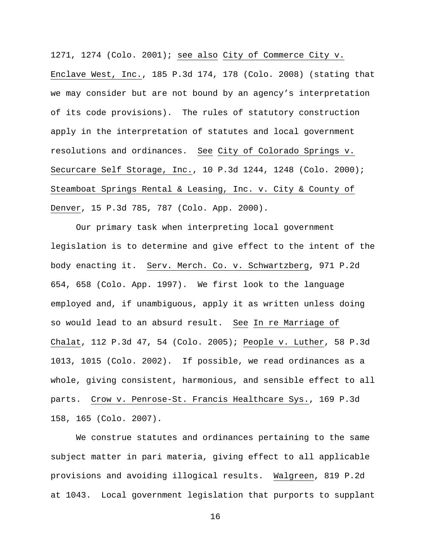1271, 1274 (Colo. 2001); see also City of Commerce City v. Enclave West, Inc., 185 P.3d 174, 178 (Colo. 2008) (stating that we may consider but are not bound by an agency's interpretation of its code provisions). The rules of statutory construction apply in the interpretation of statutes and local government resolutions and ordinances. See City of Colorado Springs v. Securcare Self Storage, Inc., 10 P.3d 1244, 1248 (Colo. 2000); Steamboat Springs Rental & Leasing, Inc. v. City & County of Denver, 15 P.3d 785, 787 (Colo. App. 2000).

Our primary task when interpreting local government legislation is to determine and give effect to the intent of the body enacting it. Serv. Merch. Co. v. Schwartzberg, 971 P.2d 654, 658 (Colo. App. 1997). We first look to the language employed and, if unambiguous, apply it as written unless doing so would lead to an absurd result. See In re Marriage of Chalat, 112 P.3d 47, 54 (Colo. 2005); People v. Luther, 58 P.3d 1013, 1015 (Colo. 2002). If possible, we read ordinances as a whole, giving consistent, harmonious, and sensible effect to all parts. Crow v. Penrose-St. Francis Healthcare Sys., 169 P.3d 158, 165 (Colo. 2007).

We construe statutes and ordinances pertaining to the same subject matter in pari materia, giving effect to all applicable provisions and avoiding illogical results. Walgreen, 819 P.2d at 1043. Local government legislation that purports to supplant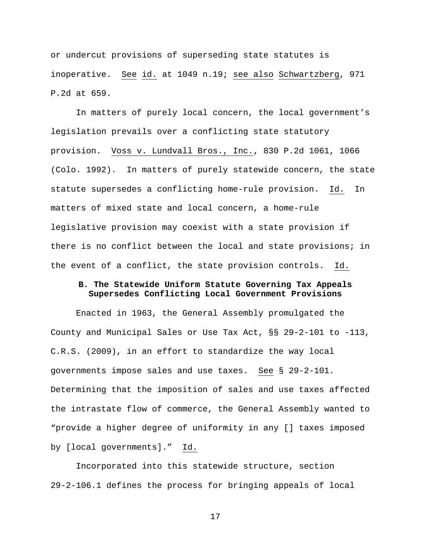or undercut provisions of superseding state statutes is inoperative. See id. at 1049 n.19; see also Schwartzberg, 971 P.2d at 659.

In matters of purely local concern, the local government's legislation prevails over a conflicting state statutory provision. Voss v. Lundvall Bros., Inc., 830 P.2d 1061, 1066 (Colo. 1992). In matters of purely statewide concern, the state statute supersedes a conflicting home-rule provision. Id. In matters of mixed state and local concern, a home-rule legislative provision may coexist with a state provision if there is no conflict between the local and state provisions; in the event of a conflict, the state provision controls. Id.

# **B. The Statewide Uniform Statute Governing Tax Appeals Supersedes Conflicting Local Government Provisions**

Enacted in 1963, the General Assembly promulgated the County and Municipal Sales or Use Tax Act, §§ 29-2-101 to -113, C.R.S. (2009), in an effort to standardize the way local governments impose sales and use taxes. See § 29-2-101. Determining that the imposition of sales and use taxes affected the intrastate flow of commerce, the General Assembly wanted to "provide a higher degree of uniformity in any [] taxes imposed by [local governments]." Id.

Incorporated into this statewide structure, section 29-2-106.1 defines the process for bringing appeals of local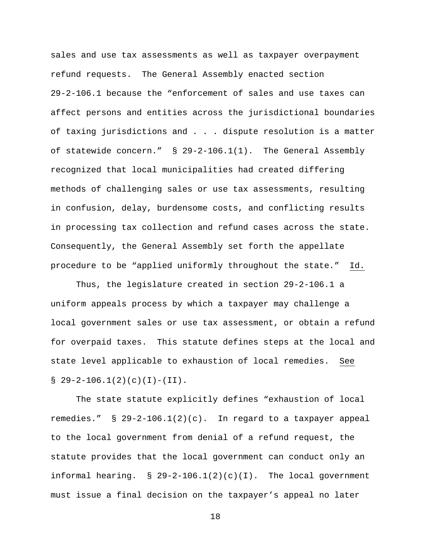sales and use tax assessments as well as taxpayer overpayment refund requests. The General Assembly enacted section 29-2-106.1 because the "enforcement of sales and use taxes can affect persons and entities across the jurisdictional boundaries of taxing jurisdictions and . . . dispute resolution is a matter of statewide concern." § 29-2-106.1(1). The General Assembly recognized that local municipalities had created differing methods of challenging sales or use tax assessments, resulting in confusion, delay, burdensome costs, and conflicting results in processing tax collection and refund cases across the state. Consequently, the General Assembly set forth the appellate procedure to be "applied uniformly throughout the state." Id.

Thus, the legislature created in section 29-2-106.1 a uniform appeals process by which a taxpayer may challenge a local government sales or use tax assessment, or obtain a refund for overpaid taxes. This statute defines steps at the local and state level applicable to exhaustion of local remedies. See  $$ 29-2-106.1(2)(c)(I)-(II).$ 

The state statute explicitly defines "exhaustion of local remedies." § 29-2-106.1(2)(c). In regard to a taxpayer appeal to the local government from denial of a refund request, the statute provides that the local government can conduct only an informal hearing.  $\S$  29-2-106.1(2)(c)(I). The local government must issue a final decision on the taxpayer's appeal no later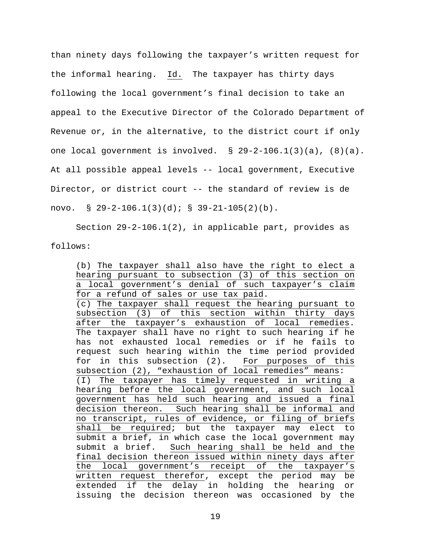than ninety days following the taxpayer's written request for the informal hearing. Id. The taxpayer has thirty days following the local government's final decision to take an appeal to the Executive Director of the Colorado Department of Revenue or, in the alternative, to the district court if only one local government is involved. § 29-2-106.1(3)(a), (8)(a). At all possible appeal levels -- local government, Executive Director, or district court -- the standard of review is de novo. § 29-2-106.1(3)(d); § 39-21-105(2)(b).

Section 29-2-106.1(2), in applicable part, provides as follows:

(b) The taxpayer shall also have the right to elect a hearing pursuant to subsection (3) of this section on a local government's denial of such taxpayer's claim for a refund of sales or use tax paid. (c) The taxpayer shall request the hearing pursuant to subsection (3) of this section within thirty days after the taxpayer's exhaustion of local remedies. The taxpayer shall have no right to such hearing if he has not exhausted local remedies or if he fails to request such hearing within the time period provided for in this subsection (2). For purposes of this subsection (2), "exhaustion of local remedies" means: (I) The taxpayer has timely requested in writing a hearing before the local government, and such local government has held such hearing and issued a final decision thereon. Such hearing shall be informal and no transcript, rules of evidence, or filing of briefs shall be required; but the taxpayer may elect to submit a brief, in which case the local government may submit a brief. Such hearing shall be held and the final decision thereon issued within ninety days after the local government's receipt of the taxpayer's written request therefor, except the period may be extended if the delay in holding the hearing or issuing the decision thereon was occasioned by the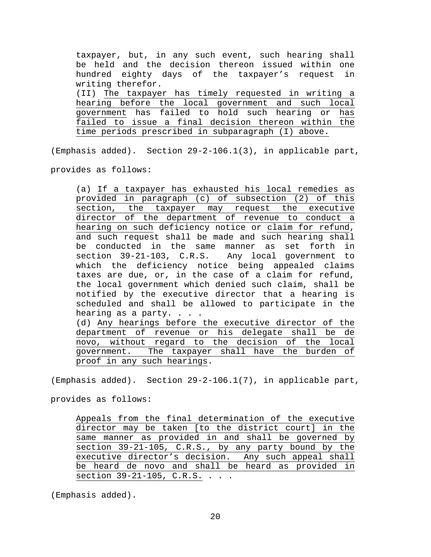taxpayer, but, in any such event, such hearing shall be held and the decision thereon issued within one hundred eighty days of the taxpayer's request in writing therefor. (II) The taxpayer has timely requested in writing a hearing before the local government and such local government has failed to hold such hearing or has failed to issue a final decision thereon within the time periods prescribed in subparagraph (I) above.

(Emphasis added). Section 29-2-106.1(3), in applicable part,

provides as follows:

(a) If a taxpayer has exhausted his local remedies as provided in paragraph (c) of subsection (2) of this section, the taxpayer may request the executive director of the department of revenue to conduct a hearing on such deficiency notice or claim for refund, and such request shall be made and such hearing shall be conducted in the same manner as set forth in<br>section 39-21-103, C.R.S. Any local government to Any local government to which the deficiency notice being appealed claims taxes are due, or, in the case of a claim for refund, the local government which denied such claim, shall be notified by the executive director that a hearing is scheduled and shall be allowed to participate in the hearing as a party. . . . (d) Any hearings before the executive director of the department of revenue or his delegate shall be de

novo, without regard to the decision of the local government. The taxpayer shall have the burden of proof in any such hearings.

(Emphasis added). Section 29-2-106.1(7), in applicable part,

provides as follows:

Appeals from the final determination of the executive director may be taken [to the district court] in the same manner as provided in and shall be governed by section 39-21-105, C.R.S., by any party bound by the executive director's decision. Any such appeal shall be heard de novo and shall be heard as provided in section 39-21-105, C.R.S. . . .

(Emphasis added).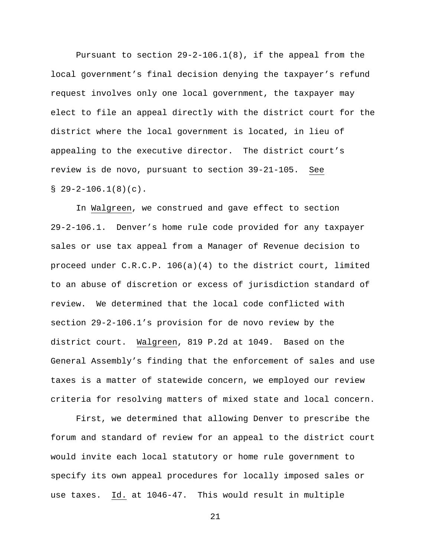Pursuant to section  $29-2-106.1(8)$ , if the appeal from the local government's final decision denying the taxpayer's refund request involves only one local government, the taxpayer may elect to file an appeal directly with the district court for the district where the local government is located, in lieu of appealing to the executive director. The district court's review is de novo, pursuant to section 39-21-105. See  $$29-2-106.1(8)(c).$ 

In Walgreen, we construed and gave effect to section 29-2-106.1. Denver's home rule code provided for any taxpayer sales or use tax appeal from a Manager of Revenue decision to proceed under C.R.C.P. 106(a)(4) to the district court, limited to an abuse of discretion or excess of jurisdiction standard of review. We determined that the local code conflicted with section 29-2-106.1's provision for de novo review by the district court. Walgreen, 819 P.2d at 1049. Based on the General Assembly's finding that the enforcement of sales and use taxes is a matter of statewide concern, we employed our review criteria for resolving matters of mixed state and local concern.

First, we determined that allowing Denver to prescribe the forum and standard of review for an appeal to the district court would invite each local statutory or home rule government to specify its own appeal procedures for locally imposed sales or use taxes. Id. at 1046-47. This would result in multiple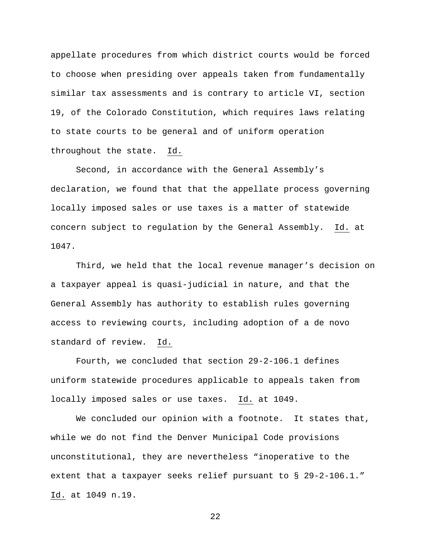appellate procedures from which district courts would be forced to choose when presiding over appeals taken from fundamentally similar tax assessments and is contrary to article VI, section 19, of the Colorado Constitution, which requires laws relating to state courts to be general and of uniform operation throughout the state. Id.

Second, in accordance with the General Assembly's declaration, we found that that the appellate process governing locally imposed sales or use taxes is a matter of statewide concern subject to regulation by the General Assembly. Id. at 1047.

Third, we held that the local revenue manager's decision on a taxpayer appeal is quasi-judicial in nature, and that the General Assembly has authority to establish rules governing access to reviewing courts, including adoption of a de novo standard of review. Id.

Fourth, we concluded that section 29-2-106.1 defines uniform statewide procedures applicable to appeals taken from locally imposed sales or use taxes. Id. at 1049.

We concluded our opinion with a footnote. It states that, while we do not find the Denver Municipal Code provisions unconstitutional, they are nevertheless "inoperative to the extent that a taxpayer seeks relief pursuant to § 29-2-106.1." Id. at 1049 n.19.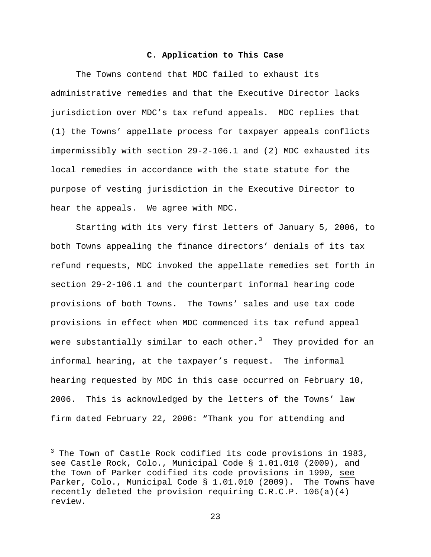## **C. Application to This Case**

The Towns contend that MDC failed to exhaust its administrative remedies and that the Executive Director lacks jurisdiction over MDC's tax refund appeals. MDC replies that (1) the Towns' appellate process for taxpayer appeals conflicts impermissibly with section 29-2-106.1 and (2) MDC exhausted its local remedies in accordance with the state statute for the purpose of vesting jurisdiction in the Executive Director to hear the appeals. We agree with MDC.

Starting with its very first letters of January 5, 2006, to both Towns appealing the finance directors' denials of its tax refund requests, MDC invoked the appellate remedies set forth in section 29-2-106.1 and the counterpart informal hearing code provisions of both Towns. The Towns' sales and use tax code provisions in effect when MDC commenced its tax refund appeal were substantially similar to each other. $3$  They provided for an informal hearing, at the taxpayer's request. The informal hearing requested by MDC in this case occurred on February 10, 2006. This is acknowledged by the letters of the Towns' law firm dated February 22, 2006: "Thank you for attending and

 $\overline{\phantom{0}}$ 

<span id="page-22-0"></span><sup>&</sup>lt;sup>3</sup> The Town of Castle Rock codified its code provisions in 1983, see Castle Rock, Colo., Municipal Code § 1.01.010 (2009), and the Town of Parker codified its code provisions in 1990, see Parker, Colo., Municipal Code § 1.01.010 (2009). The Towns have recently deleted the provision requiring  $C.R.C.P. 106(a)(4)$ review.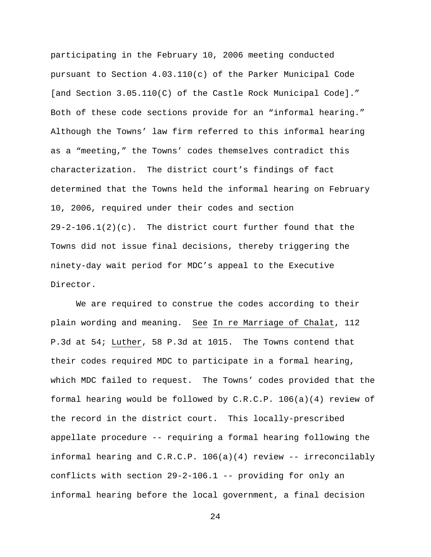participating in the February 10, 2006 meeting conducted pursuant to Section 4.03.110(c) of the Parker Municipal Code [and Section 3.05.110(C) of the Castle Rock Municipal Code]." Both of these code sections provide for an "informal hearing." Although the Towns' law firm referred to this informal hearing as a "meeting," the Towns' codes themselves contradict this characterization. The district court's findings of fact determined that the Towns held the informal hearing on February 10, 2006, required under their codes and section  $29-2-106.1(2)(c)$ . The district court further found that the Towns did not issue final decisions, thereby triggering the ninety-day wait period for MDC's appeal to the Executive Director.

We are required to construe the codes according to their plain wording and meaning. See In re Marriage of Chalat, 112 P.3d at 54; Luther, 58 P.3d at 1015. The Towns contend that their codes required MDC to participate in a formal hearing, which MDC failed to request. The Towns' codes provided that the formal hearing would be followed by C.R.C.P. 106(a)(4) review of the record in the district court. This locally-prescribed appellate procedure -- requiring a formal hearing following the informal hearing and C.R.C.P. 106(a)(4) review -- irreconcilably conflicts with section 29-2-106.1 -- providing for only an informal hearing before the local government, a final decision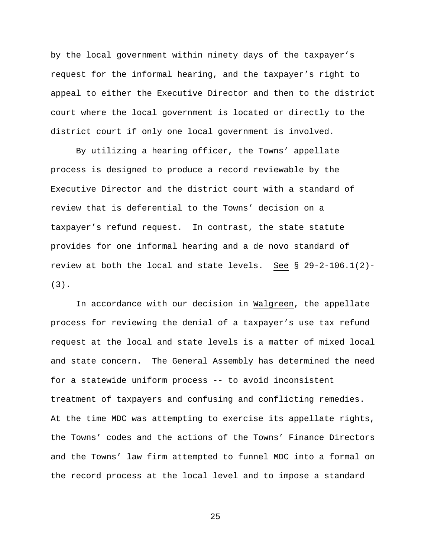by the local government within ninety days of the taxpayer's request for the informal hearing, and the taxpayer's right to appeal to either the Executive Director and then to the district court where the local government is located or directly to the district court if only one local government is involved.

By utilizing a hearing officer, the Towns' appellate process is designed to produce a record reviewable by the Executive Director and the district court with a standard of review that is deferential to the Towns' decision on a taxpayer's refund request. In contrast, the state statute provides for one informal hearing and a de novo standard of review at both the local and state levels. See § 29-2-106.1(2)- (3).

In accordance with our decision in Walgreen, the appellate process for reviewing the denial of a taxpayer's use tax refund request at the local and state levels is a matter of mixed local and state concern. The General Assembly has determined the need for a statewide uniform process -- to avoid inconsistent treatment of taxpayers and confusing and conflicting remedies. At the time MDC was attempting to exercise its appellate rights, the Towns' codes and the actions of the Towns' Finance Directors and the Towns' law firm attempted to funnel MDC into a formal on the record process at the local level and to impose a standard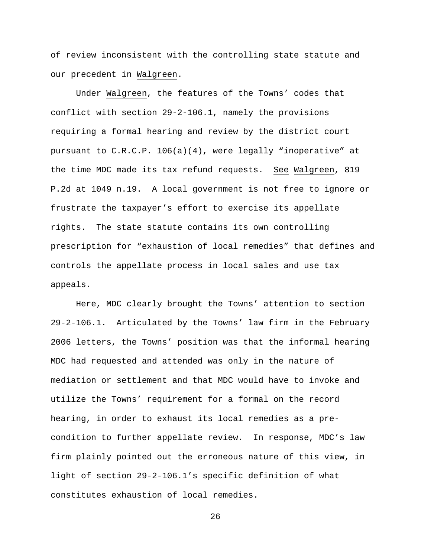of review inconsistent with the controlling state statute and our precedent in Walgreen.

Under Walgreen, the features of the Towns' codes that conflict with section 29-2-106.1, namely the provisions requiring a formal hearing and review by the district court pursuant to C.R.C.P. 106(a)(4), were legally "inoperative" at the time MDC made its tax refund requests. See Walgreen, 819 P.2d at 1049 n.19. A local government is not free to ignore or frustrate the taxpayer's effort to exercise its appellate rights. The state statute contains its own controlling prescription for "exhaustion of local remedies" that defines and controls the appellate process in local sales and use tax appeals.

Here, MDC clearly brought the Towns' attention to section 29-2-106.1. Articulated by the Towns' law firm in the February 2006 letters, the Towns' position was that the informal hearing MDC had requested and attended was only in the nature of mediation or settlement and that MDC would have to invoke and utilize the Towns' requirement for a formal on the record hearing, in order to exhaust its local remedies as a precondition to further appellate review. In response, MDC's law firm plainly pointed out the erroneous nature of this view, in light of section 29-2-106.1's specific definition of what constitutes exhaustion of local remedies.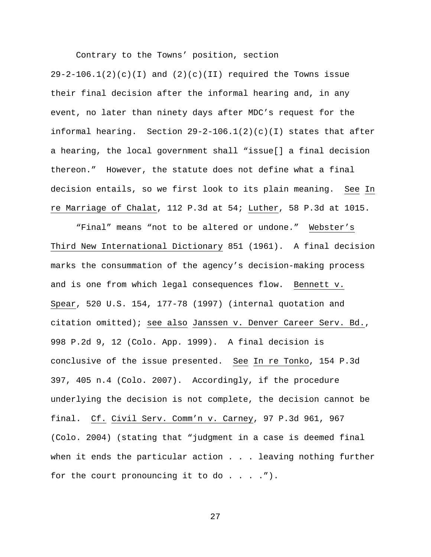Contrary to the Towns' position, section

 $29-2-106.1(2)(c)(I)$  and  $(2)(c)(II)$  required the Towns issue their final decision after the informal hearing and, in any event, no later than ninety days after MDC's request for the informal hearing. Section 29-2-106.1(2)(c)(I) states that after a hearing, the local government shall "issue[] a final decision thereon." However, the statute does not define what a final decision entails, so we first look to its plain meaning. See In re Marriage of Chalat, 112 P.3d at 54; Luther, 58 P.3d at 1015.

"Final" means "not to be altered or undone." Webster's Third New International Dictionary 851 (1961). A final decision marks the consummation of the agency's decision-making process and is one from which legal consequences flow. Bennett v. Spear, 520 U.S. 154, 177-78 (1997) (internal quotation and citation omitted); see also Janssen v. Denver Career Serv. Bd., 998 P.2d 9, 12 (Colo. App. 1999). A final decision is conclusive of the issue presented. See In re Tonko, 154 P.3d 397, 405 n.4 (Colo. 2007). Accordingly, if the procedure underlying the decision is not complete, the decision cannot be final. Cf. Civil Serv. Comm'n v. Carney, 97 P.3d 961, 967 (Colo. 2004) (stating that "judgment in a case is deemed final when it ends the particular action  $\ldots$  . leaving nothing further for the court pronouncing it to do . . . .").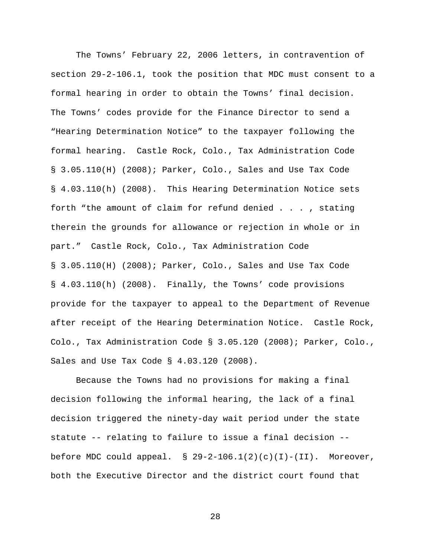The Towns' February 22, 2006 letters, in contravention of section 29-2-106.1, took the position that MDC must consent to a formal hearing in order to obtain the Towns' final decision. The Towns' codes provide for the Finance Director to send a "Hearing Determination Notice" to the taxpayer following the formal hearing. Castle Rock, Colo., Tax Administration Code § 3.05.110(H) (2008); Parker, Colo., Sales and Use Tax Code § 4.03.110(h) (2008). This Hearing Determination Notice sets forth "the amount of claim for refund denied . . . , stating therein the grounds for allowance or rejection in whole or in part." Castle Rock, Colo., Tax Administration Code § 3.05.110(H) (2008); Parker, Colo., Sales and Use Tax Code § 4.03.110(h) (2008). Finally, the Towns' code provisions provide for the taxpayer to appeal to the Department of Revenue after receipt of the Hearing Determination Notice. Castle Rock, Colo., Tax Administration Code § 3.05.120 (2008); Parker, Colo., Sales and Use Tax Code § 4.03.120 (2008).

Because the Towns had no provisions for making a final decision following the informal hearing, the lack of a final decision triggered the ninety-day wait period under the state statute -- relating to failure to issue a final decision - before MDC could appeal.  $\S$  29-2-106.1(2)(c)(I)-(II). Moreover, both the Executive Director and the district court found that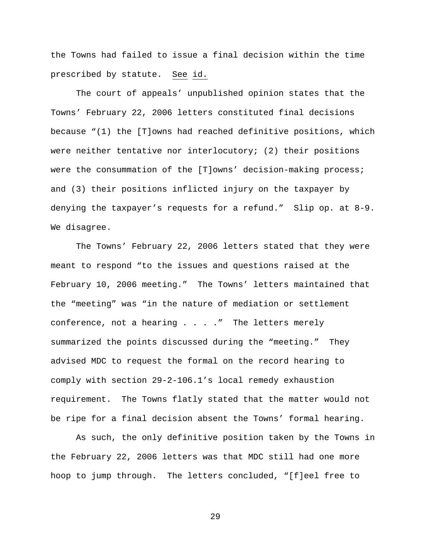the Towns had failed to issue a final decision within the time prescribed by statute. See id.

The court of appeals' unpublished opinion states that the Towns' February 22, 2006 letters constituted final decisions because "(1) the [T]owns had reached definitive positions, which were neither tentative nor interlocutory; (2) their positions were the consummation of the [T]owns' decision-making process; and (3) their positions inflicted injury on the taxpayer by denying the taxpayer's requests for a refund." Slip op. at 8-9. We disagree.

The Towns' February 22, 2006 letters stated that they were meant to respond "to the issues and questions raised at the February 10, 2006 meeting." The Towns' letters maintained that the "meeting" was "in the nature of mediation or settlement conference, not a hearing . . . ." The letters merely summarized the points discussed during the "meeting." They advised MDC to request the formal on the record hearing to comply with section 29-2-106.1's local remedy exhaustion requirement. The Towns flatly stated that the matter would not be ripe for a final decision absent the Towns' formal hearing.

As such, the only definitive position taken by the Towns in the February 22, 2006 letters was that MDC still had one more hoop to jump through. The letters concluded, "[f]eel free to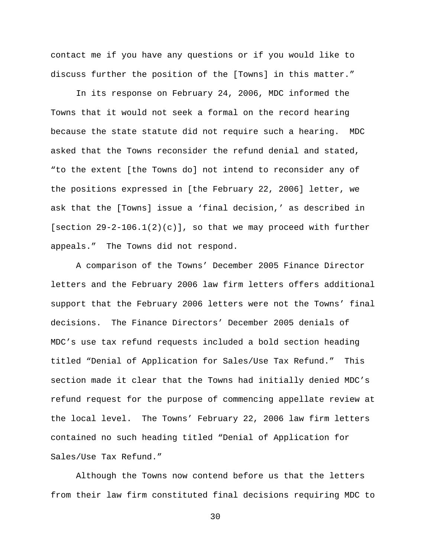contact me if you have any questions or if you would like to discuss further the position of the [Towns] in this matter."

In its response on February 24, 2006, MDC informed the Towns that it would not seek a formal on the record hearing because the state statute did not require such a hearing. MDC asked that the Towns reconsider the refund denial and stated, "to the extent [the Towns do] not intend to reconsider any of the positions expressed in [the February 22, 2006] letter, we ask that the [Towns] issue a 'final decision,' as described in [section  $29-2-106.1(2)(c)$ ], so that we may proceed with further appeals." The Towns did not respond.

A comparison of the Towns' December 2005 Finance Director letters and the February 2006 law firm letters offers additional support that the February 2006 letters were not the Towns' final decisions. The Finance Directors' December 2005 denials of MDC's use tax refund requests included a bold section heading titled "Denial of Application for Sales/Use Tax Refund." This section made it clear that the Towns had initially denied MDC's refund request for the purpose of commencing appellate review at the local level. The Towns' February 22, 2006 law firm letters contained no such heading titled "Denial of Application for Sales/Use Tax Refund."

Although the Towns now contend before us that the letters from their law firm constituted final decisions requiring MDC to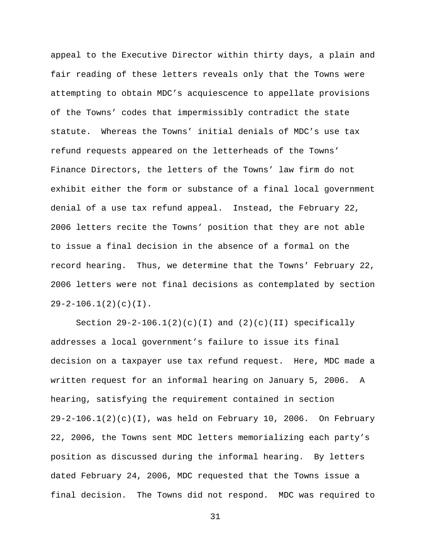appeal to the Executive Director within thirty days, a plain and fair reading of these letters reveals only that the Towns were attempting to obtain MDC's acquiescence to appellate provisions of the Towns' codes that impermissibly contradict the state statute. Whereas the Towns' initial denials of MDC's use tax refund requests appeared on the letterheads of the Towns' Finance Directors, the letters of the Towns' law firm do not exhibit either the form or substance of a final local government denial of a use tax refund appeal. Instead, the February 22, 2006 letters recite the Towns' position that they are not able to issue a final decision in the absence of a formal on the record hearing. Thus, we determine that the Towns' February 22, 2006 letters were not final decisions as contemplated by section  $29-2-106.1(2)(c)(I)$ .

Section  $29-2-106.1(2)(c)(I)$  and  $(2)(c)(II)$  specifically addresses a local government's failure to issue its final decision on a taxpayer use tax refund request. Here, MDC made a written request for an informal hearing on January 5, 2006. A hearing, satisfying the requirement contained in section  $29-2-106.1(2)(c)(I)$ , was held on February 10, 2006. On February 22, 2006, the Towns sent MDC letters memorializing each party's position as discussed during the informal hearing. By letters dated February 24, 2006, MDC requested that the Towns issue a final decision. The Towns did not respond. MDC was required to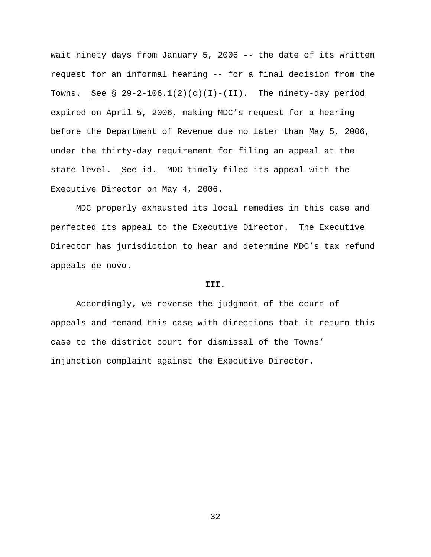wait ninety days from January 5, 2006 -- the date of its written request for an informal hearing -- for a final decision from the Towns. See §  $29-2-106.1(2)(c)(1)-(II)$ . The ninety-day period expired on April 5, 2006, making MDC's request for a hearing before the Department of Revenue due no later than May 5, 2006, under the thirty-day requirement for filing an appeal at the state level. See id. MDC timely filed its appeal with the Executive Director on May 4, 2006.

MDC properly exhausted its local remedies in this case and perfected its appeal to the Executive Director. The Executive Director has jurisdiction to hear and determine MDC's tax refund appeals de novo.

#### **III.**

Accordingly, we reverse the judgment of the court of appeals and remand this case with directions that it return this case to the district court for dismissal of the Towns' injunction complaint against the Executive Director.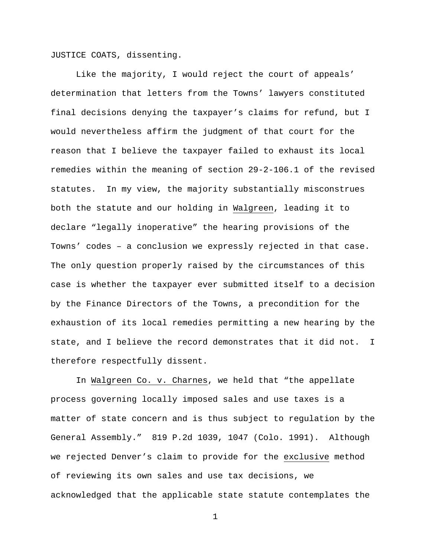JUSTICE COATS, dissenting.

 Like the majority, I would reject the court of appeals' determination that letters from the Towns' lawyers constituted final decisions denying the taxpayer's claims for refund, but I would nevertheless affirm the judgment of that court for the reason that I believe the taxpayer failed to exhaust its local remedies within the meaning of section 29-2-106.1 of the revised statutes. In my view, the majority substantially misconstrues both the statute and our holding in Walgreen, leading it to declare "legally inoperative" the hearing provisions of the Towns' codes – a conclusion we expressly rejected in that case. The only question properly raised by the circumstances of this case is whether the taxpayer ever submitted itself to a decision by the Finance Directors of the Towns, a precondition for the exhaustion of its local remedies permitting a new hearing by the state, and I believe the record demonstrates that it did not. I therefore respectfully dissent.

 In Walgreen Co. v. Charnes, we held that "the appellate process governing locally imposed sales and use taxes is a matter of state concern and is thus subject to regulation by the General Assembly." 819 P.2d 1039, 1047 (Colo. 1991). Although we rejected Denver's claim to provide for the exclusive method of reviewing its own sales and use tax decisions, we acknowledged that the applicable state statute contemplates the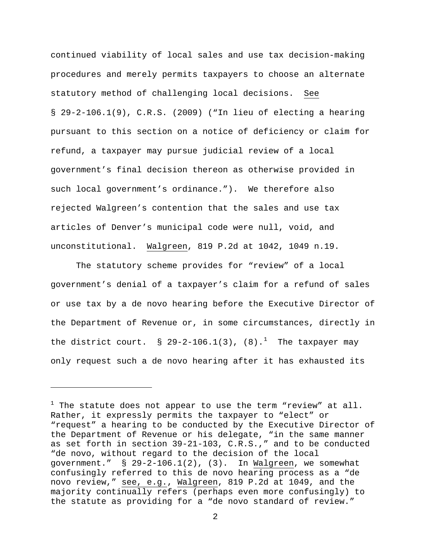continued viability of local sales and use tax decision-making procedures and merely permits taxpayers to choose an alternate statutory method of challenging local decisions. See § 29-2-106.1(9), C.R.S. (2009) ("In lieu of electing a hearing pursuant to this section on a notice of deficiency or claim for refund, a taxpayer may pursue judicial review of a local government's final decision thereon as otherwise provided in such local government's ordinance."). We therefore also rejected Walgreen's contention that the sales and use tax articles of Denver's municipal code were null, void, and unconstitutional. Walgreen, 819 P.2d at 1042, 1049 n.19.

 The statutory scheme provides for "review" of a local government's denial of a taxpayer's claim for a refund of sales or use tax by a de novo hearing before the Executive Director of the Department of Revenue or, in some circumstances, directly in the district court. § 29-2-[1](#page-33-0)06.1(3), (8).<sup>1</sup> The taxpayer may only request such a de novo hearing after it has exhausted its

i

<span id="page-33-0"></span> $^1$  The statute does not appear to use the term "review" at all. Rather, it expressly permits the taxpayer to "elect" or "request" a hearing to be conducted by the Executive Director of the Department of Revenue or his delegate, "in the same manner as set forth in section 39-21-103, C.R.S.," and to be conducted "de novo, without regard to the decision of the local government." § 29-2-106.1(2), (3). In Walgreen, we somewhat confusingly referred to this de novo hearing process as a "de novo review," see, e.g., Walgreen, 819 P.2d at 1049, and the majority continually refers (perhaps even more confusingly) to the statute as providing for a "de novo standard of review."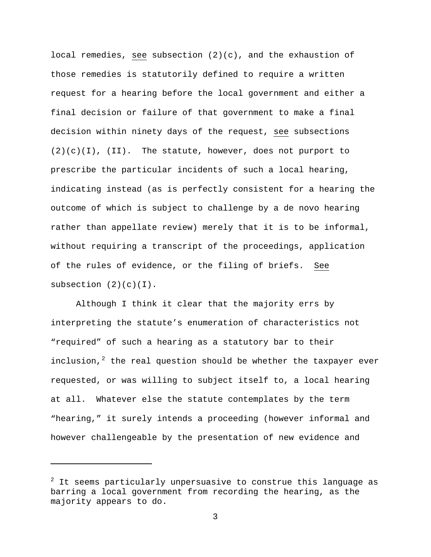local remedies, see subsection  $(2)(c)$ , and the exhaustion of those remedies is statutorily defined to require a written request for a hearing before the local government and either a final decision or failure of that government to make a final decision within ninety days of the request, see subsections  $(2)(c)(I)$ , (II). The statute, however, does not purport to prescribe the particular incidents of such a local hearing, indicating instead (as is perfectly consistent for a hearing the outcome of which is subject to challenge by a de novo hearing rather than appellate review) merely that it is to be informal, without requiring a transcript of the proceedings, application of the rules of evidence, or the filing of briefs. See subsection  $(2)(c)(I)$ .

 Although I think it clear that the majority errs by interpreting the statute's enumeration of characteristics not "required" of such a hearing as a statutory bar to their inclusion, $^2$  $^2$  the real question should be whether the taxpayer ever requested, or was willing to subject itself to, a local hearing at all. Whatever else the statute contemplates by the term "hearing," it surely intends a proceeding (however informal and however challengeable by the presentation of new evidence and

i

<span id="page-34-0"></span> $^{\rm 2}$  It seems particularly unpersuasive to construe this language as barring a local government from recording the hearing, as the majority appears to do.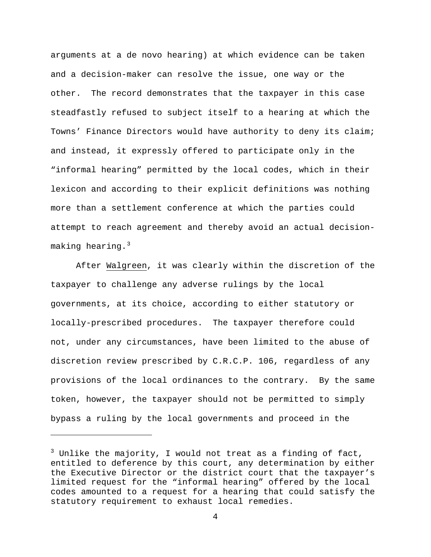arguments at a de novo hearing) at which evidence can be taken and a decision-maker can resolve the issue, one way or the other. The record demonstrates that the taxpayer in this case steadfastly refused to subject itself to a hearing at which the Towns' Finance Directors would have authority to deny its claim; and instead, it expressly offered to participate only in the "informal hearing" permitted by the local codes, which in their lexicon and according to their explicit definitions was nothing more than a settlement conference at which the parties could attempt to reach agreement and thereby avoid an actual decisionmaking hearing. $3$ 

 After Walgreen, it was clearly within the discretion of the taxpayer to challenge any adverse rulings by the local governments, at its choice, according to either statutory or locally-prescribed procedures. The taxpayer therefore could not, under any circumstances, have been limited to the abuse of discretion review prescribed by C.R.C.P. 106, regardless of any provisions of the local ordinances to the contrary. By the same token, however, the taxpayer should not be permitted to simply bypass a ruling by the local governments and proceed in the

i

<span id="page-35-0"></span> $^3$  Unlike the majority, I would not treat as a finding of fact, entitled to deference by this court, any determination by either the Executive Director or the district court that the taxpayer's limited request for the "informal hearing" offered by the local codes amounted to a request for a hearing that could satisfy the statutory requirement to exhaust local remedies.